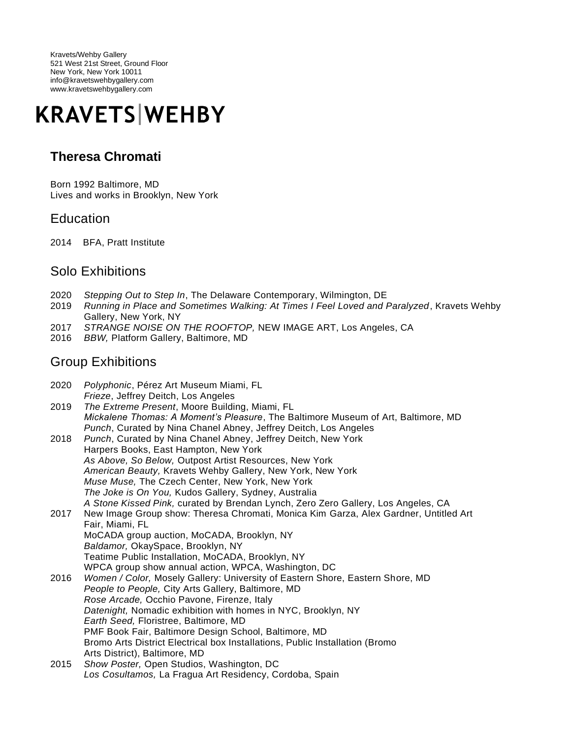Kravets/Wehby Gallery 521 West 21st Street, Ground Floor New York, New York 10011 info@kravetswehbygallery.com www.kravetswehbygallery.com

# **KRAVETS WEHBY**

## **Theresa Chromati**

Born 1992 Baltimore, MD Lives and works in Brooklyn, New York

#### **Education**

2014 BFA, Pratt Institute

#### Solo Exhibitions

- 2020 *Stepping Out to Step In*, The Delaware Contemporary, Wilmington, DE
- 2019 *Running in Place and Sometimes Walking: At Times I Feel Loved and Paralyzed*, Kravets Wehby Gallery, New York, NY
- 2017 *STRANGE NOISE ON THE ROOFTOP,* NEW IMAGE ART, Los Angeles, CA
- 2016 *BBW,* Platform Gallery, Baltimore, MD

#### Group Exhibitions

| 2020 | Polyphonic, Pérez Art Museum Miami, FL              |  |
|------|-----------------------------------------------------|--|
|      | <i>Frieze</i> , Jeffrey Deitch, Los Angeles         |  |
| 0010 | $\tau$ be Eytromo Drogont, Moore Duilding, Miomi, E |  |

- 2019 *The Extreme Present*, Moore Building, Miami, FL *Mickalene Thomas: A Moment's Pleasure*, The Baltimore Museum of Art, Baltimore, MD *Punch*, Curated by Nina Chanel Abney, Jeffrey Deitch, Los Angeles
- 2018 *Punch*, Curated by Nina Chanel Abney, Jeffrey Deitch, New York Harpers Books, East Hampton, New York *As Above, So Below,* Outpost Artist Resources, New York *American Beauty,* Kravets Wehby Gallery, New York, New York *Muse Muse,* The Czech Center, New York, New York *The Joke is On You,* Kudos Gallery, Sydney, Australia *A Stone Kissed Pink,* curated by Brendan Lynch, Zero Zero Gallery, Los Angeles, CA
- 2017 New Image Group show: Theresa Chromati, Monica Kim Garza, Alex Gardner, Untitled Art Fair, Miami, FL MoCADA group auction, MoCADA, Brooklyn, NY *Baldamor,* OkaySpace, Brooklyn, NY Teatime Public Installation, MoCADA, Brooklyn, NY WPCA group show annual action, WPCA, Washington, DC
- 2016 *Women / Color,* Mosely Gallery: University of Eastern Shore, Eastern Shore, MD *People to People,* City Arts Gallery, Baltimore, MD *Rose Arcade,* Occhio Pavone, Firenze, Italy *Datenight,* Nomadic exhibition with homes in NYC, Brooklyn, NY *Earth Seed,* Floristree, Baltimore, MD PMF Book Fair, Baltimore Design School, Baltimore, MD Bromo Arts District Electrical box Installations, Public Installation (Bromo Arts District), Baltimore, MD
- 2015 *Show Poster,* Open Studios, Washington, DC *Los Cosultamos,* La Fragua Art Residency, Cordoba, Spain